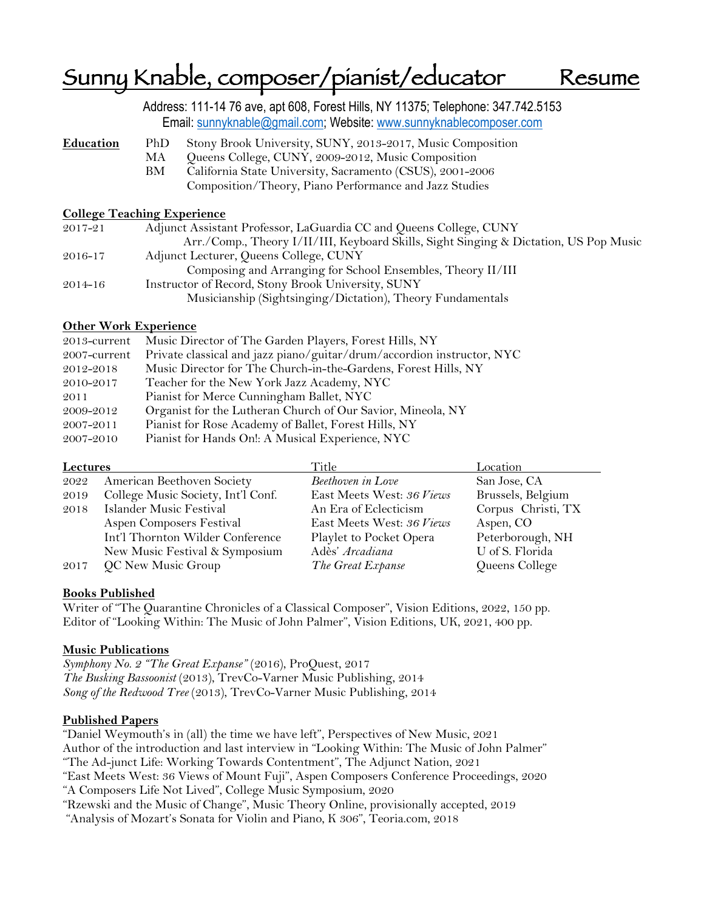# Sunny Knable, composer/pianist/educator Resume

|             | Address: 111-14 76 ave, apt 608, Forest Hills, NY 11375; Telephone: 347.742.5153<br>Email: sunnyknable@gmail.com; Website: www.sunnyknablecomposer.com                                           |
|-------------|--------------------------------------------------------------------------------------------------------------------------------------------------------------------------------------------------|
| Education   | Stony Brook University, SUNY, 2013-2017, Music Composition<br>PhD<br>Queens College, CUNY, 2009-2012, Music Composition<br>MA<br>California State University, Sacramento (CSUS), 2001-2006<br>BМ |
|             | Composition/Theory, Piano Performance and Jazz Studies<br><b>College Teaching Experience</b>                                                                                                     |
| 2017-21     | Adjunct Assistant Professor, LaGuardia CC and Queens College, CUNY<br>Arr./Comp., Theory I/II/III, Keyboard Skills, Sight Singing & Dictation, US Pop Music                                      |
| 2016-17     | Adjunct Lecturer, Queens College, CUNY<br>Composing and Arranging for School Ensembles, Theory II/III                                                                                            |
| $2014 - 16$ | Instructor of Record, Stony Brook University, SUNY<br>Musicianship (Sightsinging/Dictation), Theory Fundamentals                                                                                 |

## **Other Work Experience**

| Music Director of The Garden Players, Forest Hills, NY<br>$2013$ -current              |  |
|----------------------------------------------------------------------------------------|--|
| Private classical and jazz piano/guitar/drum/accordion instructor, NYC<br>2007-current |  |
| Music Director for The Church-in-the-Gardens, Forest Hills, NY<br>2012-2018            |  |
| Teacher for the New York Jazz Academy, NYC<br>2010-2017                                |  |
| Pianist for Merce Cunningham Ballet, NYC<br>2011                                       |  |
| Organist for the Lutheran Church of Our Savior, Mineola, NY<br>2009-2012               |  |
| Pianist for Rose Academy of Ballet, Forest Hills, NY<br>2007-2011                      |  |
| Pianist for Hands On!: A Musical Experience, NYC<br>2007-2010                          |  |

| Lectures |                                    | Title                     | Location           |
|----------|------------------------------------|---------------------------|--------------------|
| 2022     | American Beethoven Society         | Beethoven in Love         | San Jose, CA       |
| 2019     | College Music Society, Int'l Conf. | East Meets West: 36 Views | Brussels, Belgium  |
| 2018     | Islander Music Festival            | An Era of Eclecticism     | Corpus Christi, TX |
|          | Aspen Composers Festival           | East Meets West: 36 Views | Aspen, CO          |
|          | Int'l Thornton Wilder Conference   | Playlet to Pocket Opera   | Peterborough, NH   |
|          | New Music Festival & Symposium     | Adès' Arcadiana           | U of S. Florida    |
| 2017     | QC New Music Group                 | The Great Expanse         | Queens College     |

## **Books Published**

Writer of "The Quarantine Chronicles of a Classical Composer", Vision Editions, 2022, 150 pp. Editor of "Looking Within: The Music of John Palmer", Vision Editions, UK, 2021, 400 pp.

## **Music Publications**

*Symphony No. 2 "The Great Expanse"* (2016), ProQuest, 2017 *The Busking Bassoonist* (2013), TrevCo-Varner Music Publishing, 2014 *Song of the Redwood Tree* (2013), TrevCo-Varner Music Publishing, 2014

## **Published Papers**

"Daniel Weymouth's in (all) the time we have left", Perspectives of New Music, 2021 Author of the introduction and last interview in "Looking Within: The Music of John Palmer" "The Ad-junct Life: Working Towards Contentment", The Adjunct Nation, 2021 "East Meets West: 36 Views of Mount Fuji", Aspen Composers Conference Proceedings, 2020 "A Composers Life Not Lived", College Music Symposium, 2020 "Rzewski and the Music of Change", Music Theory Online, provisionally accepted, 2019 "Analysis of Mozart's Sonata for Violin and Piano, K 306", Teoria.com, 2018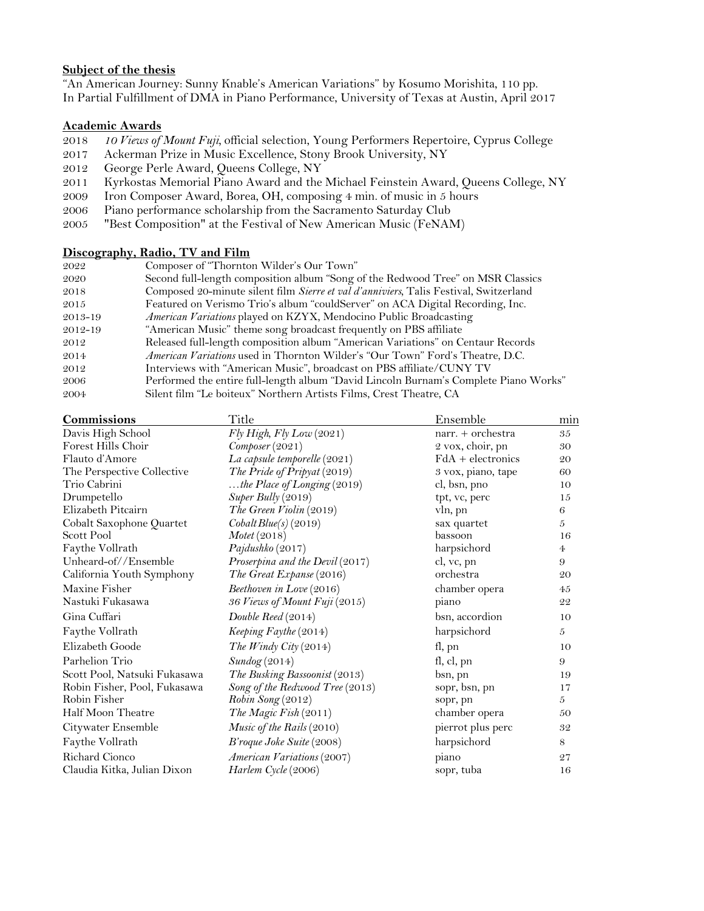## **Subject of the thesis**

"An American Journey: Sunny Knable's American Variations" by Kosumo Morishita, 110 pp. In Partial Fulfillment of DMA in Piano Performance, University of Texas at Austin, April 2017

#### **Academic Awards**

- 2018 *10 Views of Mount Fuji,* official selection, Young Performers Repertoire, Cyprus College
- 2017 Ackerman Prize in Music Excellence, Stony Brook University, NY
- 2012 George Perle Award, Queens College, NY
- 2011 Kyrkostas Memorial Piano Award and the Michael Feinstein Award, Queens College, NY
- 2009 Iron Composer Award, Borea, OH, composing 4 min. of music in 5 hours
- 2006 Piano performance scholarship from the Sacramento Saturday Club
- 2005 "Best Composition" at the Festival of New American Music (FeNAM)

## **Discography, Radio, TV and Film**

| 2022    | Composer of "Thornton Wilder's Our Town"                                              |
|---------|---------------------------------------------------------------------------------------|
| 2020    | Second full-length composition album "Song of the Redwood Tree" on MSR Classics       |
| 2018    | Composed 20-minute silent film Sierre et val d'anniviers, Talis Festival, Switzerland |
| 2015    | Featured on Verismo Trio's album "couldServer" on ACA Digital Recording, Inc.         |
| 2013-19 | American Variations played on KZYX, Mendocino Public Broadcasting                     |
| 2012-19 | "American Music" theme song broadcast frequently on PBS affiliate                     |
| 2012    | Released full-length composition album "American Variations" on Centaur Records       |
| 2014    | <i>American Variations</i> used in Thornton Wilder's "Our Town" Ford's Theatre, D.C.  |
| 2012    | Interviews with "American Music", broadcast on PBS affiliate/CUNY TV                  |
| 2006    | Performed the entire full-length album "David Lincoln Burnam's Complete Piano Works"  |
| 2004    | Silent film "Le boiteux" Northern Artists Films, Crest Theatre, CA                    |
|         |                                                                                       |

| Commissions                  | Title                           | Ensemble            | mın            |
|------------------------------|---------------------------------|---------------------|----------------|
| Davis High School            | $Fly$ High, $Fly$ Low $(2021)$  | narr. + orchestra   | 35             |
| Forest Hills Choir           | Component (2021)                | 2 vox, choir, pn    | 30             |
| Flauto d'Amore               | La capsule temporelle (2021)    | $FdA +$ electronics | 20             |
| The Perspective Collective   | The Pride of Pripyat (2019)     | 3 vox, piano, tape  | 60             |
| Trio Cabrini                 | the Place of Longing $(2019)$   | cl, bsn, pno        | 10             |
| Drumpetello                  | Super Bully (2019)              | tpt, vc, perc       | 15             |
| Elizabeth Pitcairn           | The Green Violin (2019)         | vln, pn             | $\,6$          |
| Cobalt Saxophone Quartet     | $\textit{CobaltBlue}(s)$ (2019) | sax quartet         | 5              |
| Scott Pool                   | Motet (2018)                    | bassoon             | 16             |
| Faythe Vollrath              | Pajdushko (2017)                | harpsichord         | $\overline{4}$ |
| Unheard-of//Ensemble         | Proserpina and the Devil (2017) | cl, vc, pn          | 9              |
| California Youth Symphony    | The Great Expanse (2016)        | orchestra           | 20             |
| Maxine Fisher                | Beethoven in Love (2016)        | chamber opera       | 45             |
| Nastuki Fukasawa             | 36 Views of Mount Fuji (2015)   | piano               | 22             |
| Gina Cuffari                 | Double Reed (2014)              | bsn, accordion      | 10             |
| Faythe Vollrath              | Keeping Faythe (2014)           | harpsichord         | 5              |
| Elizabeth Goode              | The Windy City $(2014)$         | fl, pn              | 10             |
| Parhelion Trio               | Sundog(2014)                    | fl, cl, pn          | 9              |
| Scott Pool, Natsuki Fukasawa | The Busking Bassoonist (2013)   | bsn, pn             | 19             |
| Robin Fisher, Pool, Fukasawa | Song of the Redwood Tree (2013) | sopr, bsn, pn       | 17             |
| Robin Fisher                 | Robin Song (2012)               | sopr, pn            | 5              |
| Half Moon Theatre            | The Magic Fish (2011)           | chamber opera       | 50             |
| Citywater Ensemble           | Music of the Rails (2010)       | pierrot plus perc   | 32             |
| Faythe Vollrath              | B'roque Joke Suite (2008)       | harpsichord         | 8              |
| Richard Cionco               | American Variations (2007)      | piano               | 27             |
| Claudia Kitka, Julian Dixon  | Harlem Cycle (2006)             | sopr, tuba          | 16             |